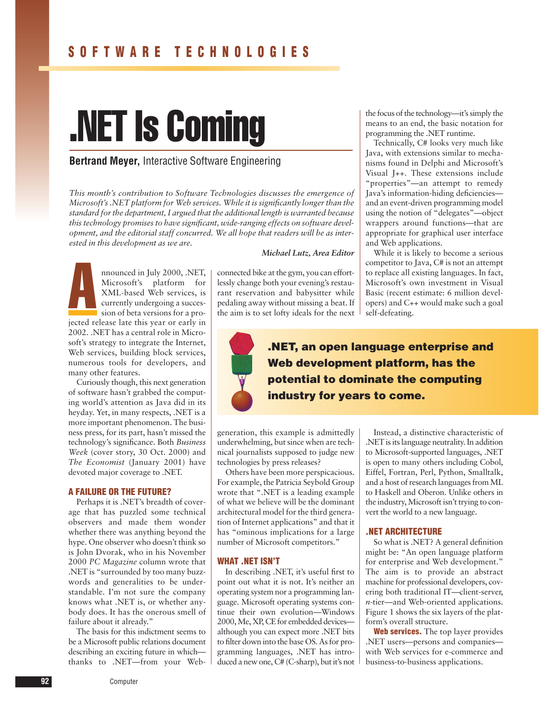# .NET Is Coming

# **Bertrand Meyer,** Interactive Software Engineering

*This month's contribution to Software Technologies discusses the emergence of Microsoft's .NET platform for Web services. While it is significantly longer than the standard for the department, I argued that the additional length is warranted because this technology promises to have significant, wide-ranging effects on software development, and the editorial staff concurred. We all hope that readers will be as interested in this development as we are.*

mounced in July 2000, .NET,<br>Microsoft's platform for<br>XML-based Web services, is<br>currently undergoing a succes-<br>sion of beta versions for a pro-Microsoft's platform for XML-based Web services, is currently undergoing a succession of beta versions for a projected release late this year or early in 2002. .NET has a central role in Microsoft's strategy to integrate the Internet, Web services, building block services, numerous tools for developers, and many other features.

Curiously though, this next generation of software hasn't grabbed the computing world's attention as Java did in its heyday. Yet, in many respects, .NET is a more important phenomenon. The business press, for its part, hasn't missed the technology's significance. Both *Business Week* (cover story, 30 Oct. 2000) and *The Economist* (January 2001) have devoted major coverage to .NET.

# **A FAILURE OR THE FUTURE?**

Perhaps it is .NET's breadth of coverage that has puzzled some technical observers and made them wonder whether there was anything beyond the hype. One observer who doesn't think so is John Dvorak, who in his November 2000 *PC Magazine* column wrote that .NET is "surrounded by too many buzzwords and generalities to be understandable. I'm not sure the company knows what .NET is, or whether anybody does. It has the onerous smell of failure about it already."

The basis for this indictment seems to be a Microsoft public relations document describing an exciting future in which thanks to .NET—from your Web-

#### *Michael Lutz, Area Editor*

connected bike at the gym, you can effortlessly change both your evening's restaurant reservation and babysitter while pedaling away without missing a beat. If the aim is to set lofty ideals for the next the focus of the technology—it's simply the means to an end, the basic notation for programming the .NET runtime.

Technically, C# looks very much like Java, with extensions similar to mechanisms found in Delphi and Microsoft's Visual J++. These extensions include "properties"—an attempt to remedy Java's information-hiding deficiencies and an event-driven programming model using the notion of "delegates"—object wrappers around functions—that are appropriate for graphical user interface and Web applications.

While it is likely to become a serious competitor to Java, C# is not an attempt to replace all existing languages. In fact, Microsoft's own investment in Visual Basic (recent estimate: 6 million developers) and C++ would make such a goal self-defeating.

**.NET, an open language enterprise and Web development platform, has the potential to dominate the computing industry for years to come.** 

generation, this example is admittedly underwhelming, but since when are technical journalists supposed to judge new technologies by press releases?

Others have been more perspicacious. For example, the Patricia Seybold Group wrote that ".NET is a leading example of what we believe will be the dominant architectural model for the third generation of Internet applications" and that it has "ominous implications for a large number of Microsoft competitors."

#### **WHAT .NET ISN'T**

In describing .NET, it's useful first to point out what it is not. It's neither an operating system nor a programming language. Microsoft operating systems continue their own evolution—Windows 2000, Me, XP, CE for embedded devices although you can expect more .NET bits to filter down into the base OS. As for programming languages, .NET has introduced a new one, C# (C-sharp), but it's not

Instead, a distinctive characteristic of .NET is its language neutrality. In addition to Microsoft-supported languages, .NET is open to many others including Cobol, Eiffel, Fortran, Perl, Python, Smalltalk, and a host of research languages from ML to Haskell and Oberon. Unlike others in the industry, Microsoft isn't trying to convert the world to a new language.

# **.NET ARCHITECTURE**

So what is .NET? A general definition might be: "An open language platform for enterprise and Web development." The aim is to provide an abstract machine for professional developers, covering both traditional IT—client-server, *n*-tier—and Web-oriented applications. Figure 1 shows the six layers of the platform's overall structure.

**Web services.** The top layer provides .NET users—persons and companies with Web services for e-commerce and business-to-business applications.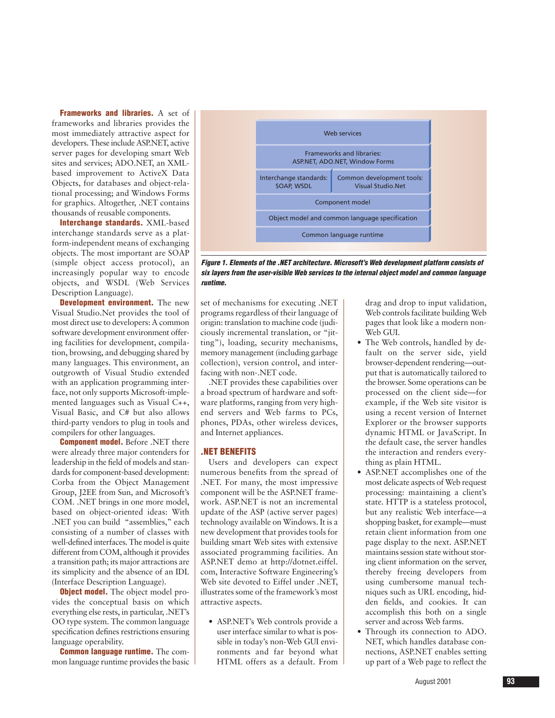**Frameworks and libraries.** A set of frameworks and libraries provides the most immediately attractive aspect for developers. These include ASP.NET, active server pages for developing smart Web sites and services; ADO.NET, an XMLbased improvement to ActiveX Data Objects, for databases and object-relational processing; and Windows Forms for graphics. Altogether, .NET contains thousands of reusable components.

**Interchange standards.** XML-based interchange standards serve as a platform-independent means of exchanging objects. The most important are SOAP (simple object access protocol), an increasingly popular way to encode objects, and WSDL (Web Services Description Language).

**Development environment.** The new Visual Studio.Net provides the tool of most direct use to developers: A common software development environment offering facilities for development, compilation, browsing, and debugging shared by many languages. This environment, an outgrowth of Visual Studio extended with an application programming interface, not only supports Microsoft-implemented languages such as Visual C++, Visual Basic, and C# but also allows third-party vendors to plug in tools and compilers for other languages.

**Component model.** Before .NET there were already three major contenders for leadership in the field of models and standards for component-based development: Corba from the Object Management Group, J2EE from Sun, and Microsoft's COM. .NET brings in one more model, based on object-oriented ideas: With .NET you can build "assemblies," each consisting of a number of classes with well-defined interfaces. The model is quite different from COM, although it provides a transition path; its major attractions are its simplicity and the absence of an IDL (Interface Description Language).

**Object model.** The object model provides the conceptual basis on which everything else rests, in particular, .NET's OO type system. The common language specification defines restrictions ensuring language operability.

**Common language runtime.** The common language runtime provides the basic



*Figure 1. Elements of the .NET architecture. Microsoft's Web development platform consists of six layers from the user-visible Web services to the internal object model and common language runtime.*

set of mechanisms for executing .NET programs regardless of their language of origin: translation to machine code (judiciously incremental translation, or "jitting"), loading, security mechanisms, memory management (including garbage collection), version control, and interfacing with non-.NET code.

.NET provides these capabilities over a broad spectrum of hardware and software platforms, ranging from very highend servers and Web farms to PCs, phones, PDAs, other wireless devices, and Internet appliances.

#### **.NET BENEFITS**

Users and developers can expect numerous benefits from the spread of .NET. For many, the most impressive component will be the ASP.NET framework. ASP.NET is not an incremental update of the ASP (active server pages) technology available on Windows. It is a new development that provides tools for building smart Web sites with extensive associated programming facilities. An ASP.NET demo at http://dotnet.eiffel. com, Interactive Software Engineering's Web site devoted to Eiffel under .NET, illustrates some of the framework's most attractive aspects.

• ASP.NET's Web controls provide a user interface similar to what is possible in today's non-Web GUI environments and far beyond what HTML offers as a default. From drag and drop to input validation, Web controls facilitate building Web pages that look like a modern non-Web GUI.

- The Web controls, handled by default on the server side, yield browser-dependent rendering—output that is automatically tailored to the browser. Some operations can be processed on the client side—for example, if the Web site visitor is using a recent version of Internet Explorer or the browser supports dynamic HTML or JavaScript. In the default case, the server handles the interaction and renders everything as plain HTML.
- ASP.NET accomplishes one of the most delicate aspects of Web request processing: maintaining a client's state. HTTP is a stateless protocol, but any realistic Web interface—a shopping basket, for example—must retain client information from one page display to the next. ASP.NET maintains session state without storing client information on the server, thereby freeing developers from using cumbersome manual techniques such as URL encoding, hidden fields, and cookies. It can accomplish this both on a single server and across Web farms.
- Through its connection to ADO. NET, which handles database connections, ASP.NET enables setting up part of a Web page to reflect the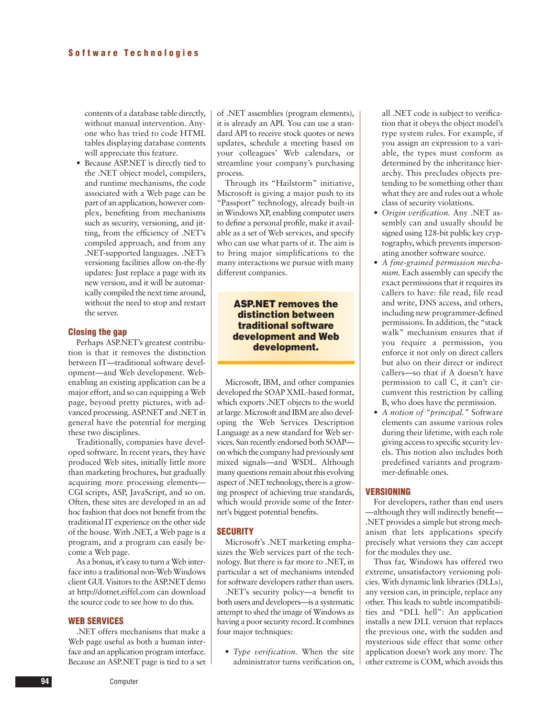contents of a database table directly, without manual intervention. Anyone who has tried to code HTML tables displaying database contents will appreciate this feature.

• Because ASP.NET is directly tied to the .NET object model, compilers, and runtime mechanisms, the code associated with a Web page can be part of an application, however complex, benefiting from mechanisms such as security, versioning, and jitting, from the efficiency of .NET's compiled approach, and from any .NET-supported languages. .NET's versioning facilities allow on-the-fly updates: Just replace a page with its new version, and it will be automatically compiled the next time around, without the need to stop and restart the server.

# **Closing the gap**

Perhaps ASP.NET's greatest contribution is that it removes the distinction between IT—traditional software development—and Web development. Webenabling an existing application can be a major effort, and so can equipping a Web page, beyond pretty pictures, with advanced processing. ASP.NET and .NET in general have the potential for merging these two disciplines.

Traditionally, companies have developed software. In recent years, they have produced Web sites, initially little more than marketing brochures, but gradually acquiring more processing elements— CGI scripts, ASP, JavaScript, and so on. Often, these sites are developed in an ad hoc fashion that does not benefit from the traditional IT experience on the other side of the house. With .NET, a Web page is a program, and a program can easily become a Web page.

As a bonus, it's easy to turn a Web interface into a traditional non-Web Windows client GUI. Visitors to the ASP.NET demo at http://dotnet.eiffel.com can download the source code to see how to do this.

# **WEB SERVICES**

.NET offers mechanisms that make a Web page useful as both a human interface and an application program interface. Because an ASP.NET page is tied to a set of .NET assemblies (program elements), it is already an API. You can use a standard API to receive stock quotes or news updates, schedule a meeting based on your colleagues' Web calendars, or streamline your company's purchasing process.

Through its "Hailstorm" initiative, Microsoft is giving a major push to its "Passport" technology, already built-in in Windows XP, enabling computer users to define a personal profile, make it available as a set of Web services, and specify who can use what parts of it. The aim is to bring major simplifications to the many interactions we pursue with many different companies.

# **ASP.NET removes the distinction between traditional software development and Web development.**

Microsoft, IBM, and other companies developed the SOAP XML-based format, which exports .NET objects to the world at large. Microsoft and IBM are also developing the Web Services Description Language as a new standard for Web services. Sun recently endorsed both SOAP on which the company had previously sent mixed signals—and WSDL. Although many questions remain about this evolving aspect of .NET technology, there is a growing prospect of achieving true standards, which would provide some of the Internet's biggest potential benefits.

# **SECURITY**

Microsoft's .NET marketing emphasizes the Web services part of the technology. But there is far more to .NET, in particular a set of mechanisms intended for software developers rather than users.

.NET's security policy—a benefit to both users and developers—is a systematic attempt to shed the image of Windows as having a poor security record. It combines four major techniques:

• *Type verification.* When the site administrator turns verification on, all .NET code is subject to verification that it obeys the object model's type system rules. For example, if you assign an expression to a variable, the types must conform as determined by the inheritance hierarchy. This precludes objects pretending to be something other than what they are and rules out a whole class of security violations.

- *Origin verification.* Any .NET assembly can and usually should be signed using 128-bit public key cryptography, which prevents impersonating another software source.
- *A fine-grained permission mechanism.* Each assembly can specify the exact permissions that it requires its callers to have: file read, file read and write, DNS access, and others, including new programmer-defined permissions. In addition, the "stack walk" mechanism ensures that if you require a permission, you enforce it not only on direct callers but also on their direct or indirect callers—so that if A doesn't have permission to call C, it can't circumvent this restriction by calling B, who does have the permission.
- *A notion of "principal."* Software elements can assume various roles during their lifetime, with each role giving access to specific security levels. This notion also includes both predefined variants and programmer-definable ones.

# **VERSIONING**

For developers, rather than end users —although they will indirectly benefit— .NET provides a simple but strong mechanism that lets applications specify precisely what versions they can accept for the modules they use.

Thus far, Windows has offered two extreme, unsatisfactory versioning policies. With dynamic link libraries (DLLs), any version can, in principle, replace any other. This leads to subtle incompatibilities and "DLL hell": An application installs a new DLL version that replaces the previous one, with the sudden and mysterious side effect that some other application doesn't work any more. The other extreme is COM, which avoids this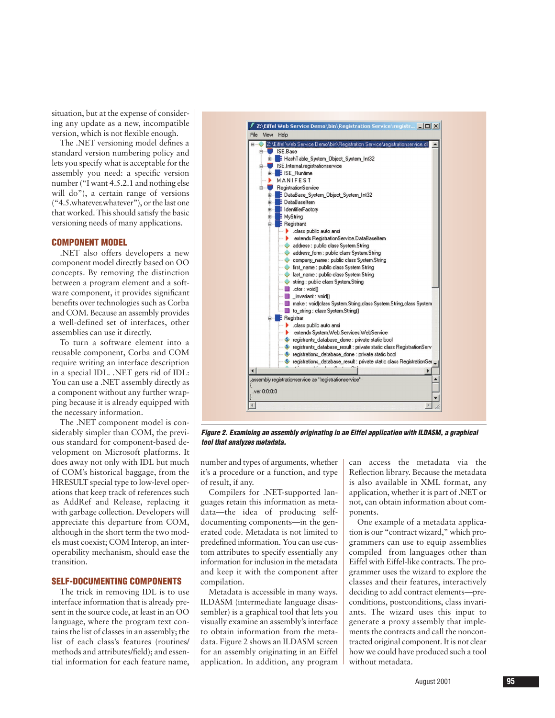situation, but at the expense of considering any update as a new, incompatible version, which is not flexible enough.

The .NET versioning model defines a standard version numbering policy and lets you specify what is acceptable for the assembly you need: a specific version number ("I want 4.5.2.1 and nothing else will do"), a certain range of versions ("4.5.whatever.whatever"), or the last one that worked. This should satisfy the basic versioning needs of many applications.

# **COMPONENT MODEL**

.NET also offers developers a new component model directly based on OO concepts. By removing the distinction between a program element and a software component, it provides significant benefits over technologies such as Corba and COM. Because an assembly provides a well-defined set of interfaces, other assemblies can use it directly.

To turn a software element into a reusable component, Corba and COM require writing an interface description in a special IDL. .NET gets rid of IDL: You can use a .NET assembly directly as a component without any further wrapping because it is already equipped with the necessary information.

The .NET component model is considerably simpler than COM, the previous standard for component-based development on Microsoft platforms. It does away not only with IDL but much of COM's historical baggage, from the HRESULT special type to low-level operations that keep track of references such as AddRef and Release, replacing it with garbage collection. Developers will appreciate this departure from COM, although in the short term the two models must coexist; COM Interop, an interoperability mechanism, should ease the transition.

#### **SELF-DOCUMENTING COMPONENTS**

The trick in removing IDL is to use interface information that is already present in the source code, at least in an OO language, where the program text contains the list of classes in an assembly; the list of each class's features (routines/ methods and attributes/field); and essential information for each feature name,



*Figure 2. Examining an assembly originating in an Eiffel application with ILDASM, a graphical tool that analyzes metadata.*

number and types of arguments, whether it's a procedure or a function, and type of result, if any.

Compilers for .NET-supported languages retain this information as metadata—the idea of producing selfdocumenting components—in the generated code. Metadata is not limited to predefined information. You can use custom attributes to specify essentially any information for inclusion in the metadata and keep it with the component after compilation.

Metadata is accessible in many ways. ILDASM (intermediate language disassembler) is a graphical tool that lets you visually examine an assembly's interface to obtain information from the metadata. Figure 2 shows an ILDASM screen for an assembly originating in an Eiffel application. In addition, any program can access the metadata via the Reflection library. Because the metadata is also available in XML format, any application, whether it is part of .NET or not, can obtain information about components.

One example of a metadata application is our "contract wizard," which programmers can use to equip assemblies compiled from languages other than Eiffel with Eiffel-like contracts. The programmer uses the wizard to explore the classes and their features, interactively deciding to add contract elements—preconditions, postconditions, class invariants. The wizard uses this input to generate a proxy assembly that implements the contracts and call the noncontracted original component. It is not clear how we could have produced such a tool without metadata.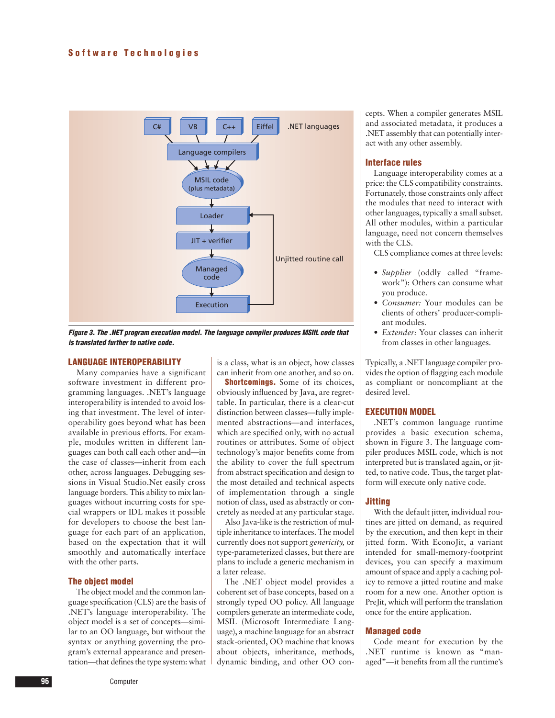

*Figure 3. The .NET program execution model. The language compiler produces MSIIL code that is translated further to native code.*

## **LANGUAGE INTEROPERABILITY**

Many companies have a significant software investment in different programming languages. .NET's language interoperability is intended to avoid losing that investment. The level of interoperability goes beyond what has been available in previous efforts. For example, modules written in different languages can both call each other and—in the case of classes—inherit from each other, across languages. Debugging sessions in Visual Studio.Net easily cross language borders. This ability to mix languages without incurring costs for special wrappers or IDL makes it possible for developers to choose the best language for each part of an application, based on the expectation that it will smoothly and automatically interface with the other parts.

#### **The object model**

The object model and the common language specification (CLS) are the basis of .NET's language interoperability. The object model is a set of concepts—similar to an OO language, but without the syntax or anything governing the program's external appearance and presentation—that defines the type system: what is a class, what is an object, how classes can inherit from one another, and so on.

**Shortcomings.** Some of its choices, obviously influenced by Java, are regrettable. In particular, there is a clear-cut distinction between classes—fully implemented abstractions—and interfaces, which are specified only, with no actual routines or attributes. Some of object technology's major benefits come from the ability to cover the full spectrum from abstract specification and design to the most detailed and technical aspects of implementation through a single notion of class, used as abstractly or concretely as needed at any particular stage.

Also Java-like is the restriction of multiple inheritance to interfaces. The model currently does not support *genericity,* or type-parameterized classes, but there are plans to include a generic mechanism in a later release.

The .NET object model provides a coherent set of base concepts, based on a strongly typed OO policy. All language compilers generate an intermediate code, MSIL (Microsoft Intermediate Language), a machine language for an abstract stack-oriented, OO machine that knows about objects, inheritance, methods, dynamic binding, and other OO concepts. When a compiler generates MSIL and associated metadata, it produces a .NET assembly that can potentially interact with any other assembly.

#### **Interface rules**

Language interoperability comes at a price: the CLS compatibility constraints. Fortunately, those constraints only affect the modules that need to interact with other languages, typically a small subset. All other modules, within a particular language, need not concern themselves with the CLS.

CLS compliance comes at three levels:

- *Supplier* (oddly called "framework"): Others can consume what you produce.
- *Consumer:* Your modules can be clients of others' producer-compliant modules.
- *Extender:* Your classes can inherit from classes in other languages.

Typically, a .NET language compiler provides the option of flagging each module as compliant or noncompliant at the desired level.

#### **EXECUTION MODEL**

.NET's common language runtime provides a basic execution schema, shown in Figure 3. The language compiler produces MSIL code, which is not interpreted but is translated again, or jitted, to native code. Thus, the target platform will execute only native code.

#### **Jitting**

With the default jitter, individual routines are jitted on demand, as required by the execution, and then kept in their jitted form. With EconoJit, a variant intended for small-memory-footprint devices, you can specify a maximum amount of space and apply a caching policy to remove a jitted routine and make room for a new one. Another option is PreJit, which will perform the translation once for the entire application.

#### **Managed code**

Code meant for execution by the .NET runtime is known as "managed"—it benefits from all the runtime's